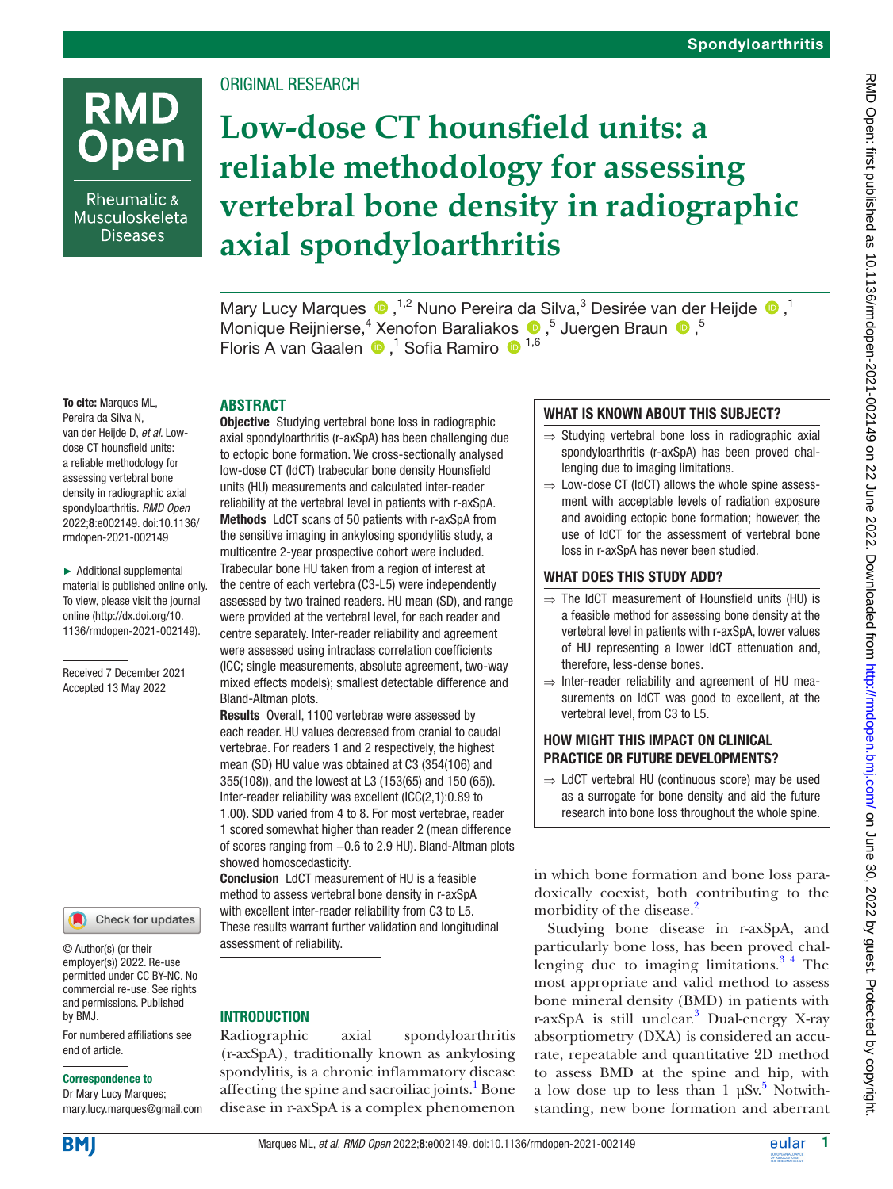# **RMD** Open

Rheumatic & Musculoskeletal **Diseases** 

# ORIGINAL RESEARCH

# **Low-dose CT hounsfield units: a reliable methodology for assessing vertebral bone density in radiographic axial spondyloarthritis**

MaryLucy Marques  $\bigcirc$ ,<sup>1,2</sup> Nuno Pereira da Silva,<sup>3</sup> Desirée van der Heijde  $\bigcirc$ ,<sup>1</sup> MoniqueReijnierse,<sup>4</sup> Xenofon Baraliakos <sup>®</sup>,<sup>5</sup> Juergen Braun <sup>®</sup>,<sup>5</sup> FlorisA van Gaalen <sup>®</sup>,<sup>1</sup> Sofia Ramiro <sup>® 1,6</sup>

To cite: Marques ML, Pereira da Silva N, van der Heijde D, *et al*. Lowdose CT hounsfield units: a reliable methodology for assessing vertebral bone density in radiographic axial spondyloarthritis. *RMD Open* 2022;8:e002149. doi:10.1136/ rmdopen-2021-002149

► Additional supplemental material is published online only. To view, please visit the journal online ([http://dx.doi.org/10.](http://dx.doi.org/10.1136/rmdopen-2021-002149) [1136/rmdopen-2021-002149\)](http://dx.doi.org/10.1136/rmdopen-2021-002149).

Received 7 December 2021 Accepted 13 May 2022



© Author(s) (or their employer(s)) 2022. Re-use permitted under CC BY-NC. No commercial re-use. See rights and permissions. Published by BMJ.

For numbered affiliations see end of article.

#### Correspondence to

Dr Mary Lucy Marques; mary.lucy.marques@gmail.com **ABSTRACT**

**Objective** Studying vertebral bone loss in radiographic axial spondyloarthritis (r-axSpA) has been challenging due to ectopic bone formation. We cross-sectionally analysed low-dose CT (ldCT) trabecular bone density Hounsfield units (HU) measurements and calculated inter-reader reliability at the vertebral level in patients with r-axSpA. Methods LdCT scans of 50 patients with r-axSpA from the sensitive imaging in ankylosing spondylitis study, a multicentre 2-year prospective cohort were included. Trabecular bone HU taken from a region of interest at the centre of each vertebra (C3-L5) were independently assessed by two trained readers. HU mean (SD), and range were provided at the vertebral level, for each reader and centre separately. Inter-reader reliability and agreement were assessed using intraclass correlation coefficients (ICC; single measurements, absolute agreement, two-way mixed effects models); smallest detectable difference and Bland-Altman plots.

Results Overall, 1100 vertebrae were assessed by each reader. HU values decreased from cranial to caudal vertebrae. For readers 1 and 2 respectively, the highest mean (SD) HU value was obtained at C3 (354(106) and 355(108)), and the lowest at L3 (153(65) and 150 (65)). Inter-reader reliability was excellent (ICC(2,1):0.89 to 1.00). SDD varied from 4 to 8. For most vertebrae, reader 1 scored somewhat higher than reader 2 (mean difference of scores ranging from −0.6 to 2.9 HU). Bland-Altman plots showed homoscedasticity.

Conclusion LdCT measurement of HU is a feasible method to assess vertebral bone density in r-axSpA with excellent inter-reader reliability from C3 to L5. These results warrant further validation and longitudinal assessment of reliability.

#### **INTRODUCTION**

Radiographic axial spondyloarthritis (r-axSpA), traditionally known as ankylosing spondylitis, is a chronic inflammatory disease affecting the spine and sacroiliac joints.<sup>1</sup> Bone disease in r-axSpA is a complex phenomenon

## WHAT IS KNOWN ABOUT THIS SUBJECT?

- ⇒ Studying vertebral bone loss in radiographic axial spondyloarthritis (r-axSpA) has been proved challenging due to imaging limitations.
- $\Rightarrow$  Low-dose CT (IdCT) allows the whole spine assessment with acceptable levels of radiation exposure and avoiding ectopic bone formation; however, the use of ldCT for the assessment of vertebral bone loss in r-axSpA has never been studied.

#### WHAT DOES THIS STUDY ADD?

- $\Rightarrow$  The IdCT measurement of Hounsfield units (HU) is a feasible method for assessing bone density at the vertebral level in patients with r-axSpA, lower values of HU representing a lower ldCT attenuation and, therefore, less-dense bones.
- $\Rightarrow$  Inter-reader reliability and agreement of HU measurements on ldCT was good to excellent, at the vertebral level, from C3 to L5.

### HOW MIGHT THIS IMPACT ON CLINICAL PRACTICE OR FUTURE DEVELOPMENTS?

 $\Rightarrow$  LdCT vertebral HU (continuous score) may be used as a surrogate for bone density and aid the future research into bone loss throughout the whole spine.

in which bone formation and bone loss paradoxically coexist, both contributing to the morbidity of the disease.<sup>[2](#page-5-1)</sup>

Studying bone disease in r-axSpA, and particularly bone loss, has been proved challenging due to imaging limitations. $3<sup>4</sup>$  The most appropriate and valid method to assess bone mineral density (BMD) in patients with r-axSpA is still unclear.<sup>3</sup> Dual-energy X-ray absorptiometry (DXA) is considered an accurate, repeatable and quantitative 2D method to assess BMD at the spine and hip, with a low dose up to less than  $1 \mu Sv$ .<sup>5</sup> Notwithstanding, new bone formation and aberrant

**BM** 

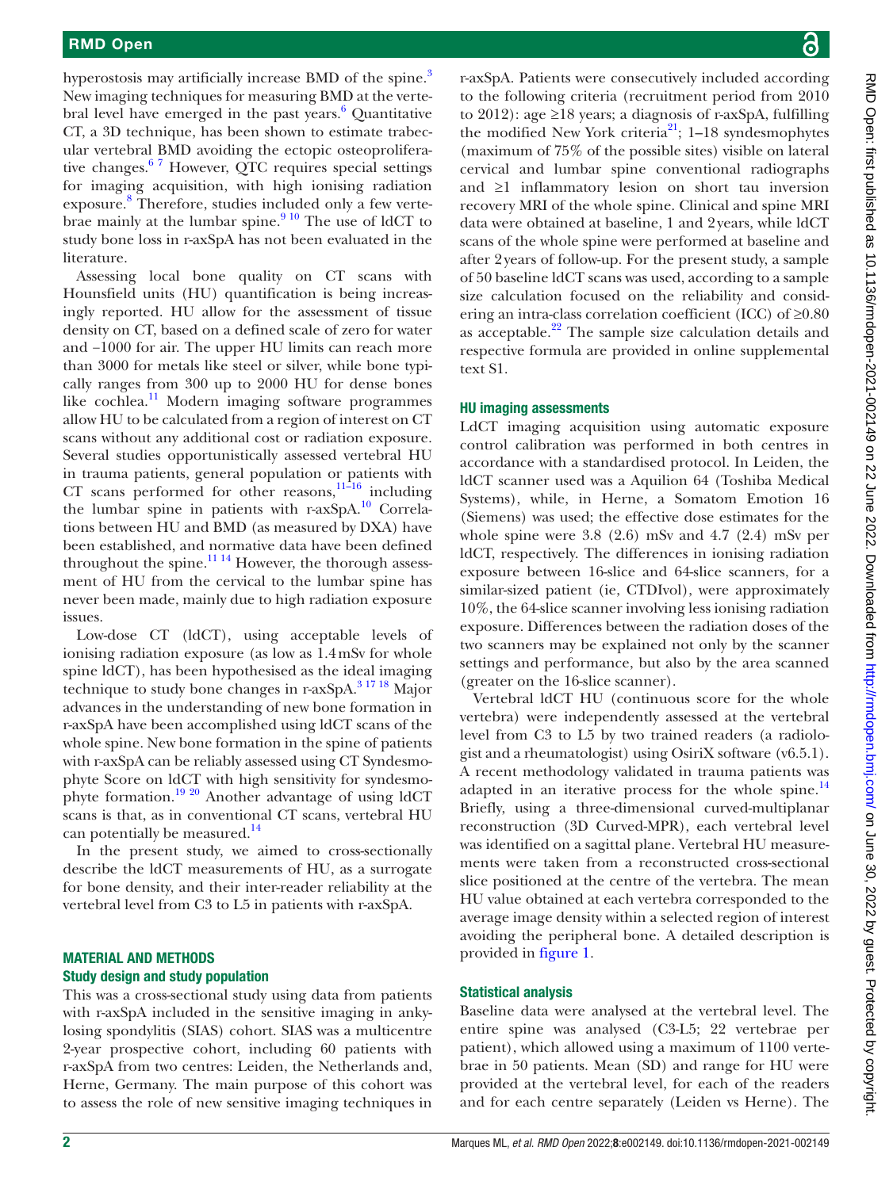hyperostosis may artificially increase BMD of the spine.<sup>[3](#page-5-2)</sup> New imaging techniques for measuring BMD at the verte-bral level have emerged in the past years.<sup>[6](#page-5-4)</sup> Quantitative CT, a 3D technique, has been shown to estimate trabecular vertebral BMD avoiding the ectopic osteoproliferative changes.[6 7](#page-5-4) However, QTC requires special settings for imaging acquisition, with high ionising radiation exposure. [8](#page-5-5) Therefore, studies included only a few vertebrae mainly at the lumbar spine. $910$  The use of ldCT to study bone loss in r-axSpA has not been evaluated in the literature.

Assessing local bone quality on CT scans with Hounsfield units (HU) quantification is being increasingly reported. HU allow for the assessment of tissue density on CT, based on a defined scale of zero for water and −1000 for air. The upper HU limits can reach more than 3000 for metals like steel or silver, while bone typically ranges from 300 up to 2000 HU for dense bones like cochlea. $\frac{11}{11}$  Modern imaging software programmes allow HU to be calculated from a region of interest on CT scans without any additional cost or radiation exposure. Several studies opportunistically assessed vertebral HU in trauma patients, general population or patients with CT scans performed for other reasons, $11-16$  including the lumbar spine in patients with r-axSpA.[10](#page-5-8) Correlations between HU and BMD (as measured by DXA) have been established, and normative data have been defined throughout the spine. $\frac{11 \cdot 14}{2}$  However, the thorough assessment of HU from the cervical to the lumbar spine has never been made, mainly due to high radiation exposure issues.

Low-dose CT (ldCT), using acceptable levels of ionising radiation exposure (as low as 1.4mSv for whole spine ldCT), has been hypothesised as the ideal imaging technique to study bone changes in r-axSpA. $3\frac{17}{18}$  Major advances in the understanding of new bone formation in r-axSpA have been accomplished using ldCT scans of the whole spine. New bone formation in the spine of patients with r-axSpA can be reliably assessed using CT Syndesmophyte Score on ldCT with high sensitivity for syndesmo-phyte formation.<sup>[19 20](#page-5-9)</sup> Another advantage of using ldCT scans is that, as in conventional CT scans, vertebral HU can potentially be measured.<sup>[14](#page-5-10)</sup>

In the present study, we aimed to cross-sectionally describe the ldCT measurements of HU, as a surrogate for bone density, and their inter-reader reliability at the vertebral level from C3 to L5 in patients with r-axSpA.

#### MATERIAL AND METHODS Study design and study population

This was a cross-sectional study using data from patients with r-axSpA included in the sensitive imaging in ankylosing spondylitis (SIAS) cohort. SIAS was a multicentre 2-year prospective cohort, including 60 patients with r-axSpA from two centres: Leiden, the Netherlands and, Herne, Germany. The main purpose of this cohort was to assess the role of new sensitive imaging techniques in RMD Open: first published as 10.1136/rmdopen-2021-002149 on 22 June 2022. Downloaded from http://rmdopen.bmj.com/ on June 30, 2022 by guest. Protected by copyright on June 30, 2022 by guest. Protected by copyright. <http://rmdopen.bmj.com/> RMD Open: first published as 10.1136/rmdopen-2021-002149 on 22 June 2022. Downloaded from

r-axSpA. Patients were consecutively included according to the following criteria (recruitment period from 2010 to 2012): age  $\geq$ 18 years; a diagnosis of r-axSpA, fulfilling the modified New York criteria<sup>21</sup>;  $1-18$  syndesmophytes (maximum of 75% of the possible sites) visible on lateral cervical and lumbar spine conventional radiographs and ≥1 inflammatory lesion on short tau inversion recovery MRI of the whole spine. Clinical and spine MRI data were obtained at baseline, 1 and 2years, while ldCT scans of the whole spine were performed at baseline and after 2years of follow-up. For the present study, a sample of 50 baseline ldCT scans was used, according to a sample size calculation focused on the reliability and considering an intra-class correlation coefficient (ICC) of ≥0.80 as acceptable.[22](#page-6-1) The sample size calculation details and respective formula are provided in [online supplemental](https://dx.doi.org/10.1136/rmdopen-2021-002149) [text S1](https://dx.doi.org/10.1136/rmdopen-2021-002149).

#### HU imaging assessments

LdCT imaging acquisition using automatic exposure control calibration was performed in both centres in accordance with a standardised protocol. In Leiden, the ldCT scanner used was a Aquilion 64 (Toshiba Medical Systems), while, in Herne, a Somatom Emotion 16 (Siemens) was used; the effective dose estimates for the whole spine were  $3.8$  (2.6) mSv and  $4.7$  (2.4) mSv per ldCT, respectively. The differences in ionising radiation exposure between 16-slice and 64-slice scanners, for a similar-sized patient (ie, CTDIvol), were approximately 10%, the 64-slice scanner involving less ionising radiation exposure. Differences between the radiation doses of the two scanners may be explained not only by the scanner settings and performance, but also by the area scanned (greater on the 16-slice scanner).

Vertebral ldCT HU (continuous score for the whole vertebra) were independently assessed at the vertebral level from C3 to L5 by two trained readers (a radiologist and a rheumatologist) using OsiriX software (v6.5.1). A recent methodology validated in trauma patients was adapted in an iterative process for the whole spine.<sup>[14](#page-5-10)</sup> Briefly, using a three-dimensional curved-multiplanar reconstruction (3D Curved-MPR), each vertebral level was identified on a sagittal plane. Vertebral HU measurements were taken from a reconstructed cross-sectional slice positioned at the centre of the vertebra. The mean HU value obtained at each vertebra corresponded to the average image density within a selected region of interest avoiding the peripheral bone. A detailed description is provided in [figure](#page-2-0) 1.

#### Statistical analysis

Baseline data were analysed at the vertebral level. The entire spine was analysed (C3-L5; 22 vertebrae per patient), which allowed using a maximum of 1100 vertebrae in 50 patients. Mean (SD) and range for HU were provided at the vertebral level, for each of the readers and for each centre separately (Leiden vs Herne). The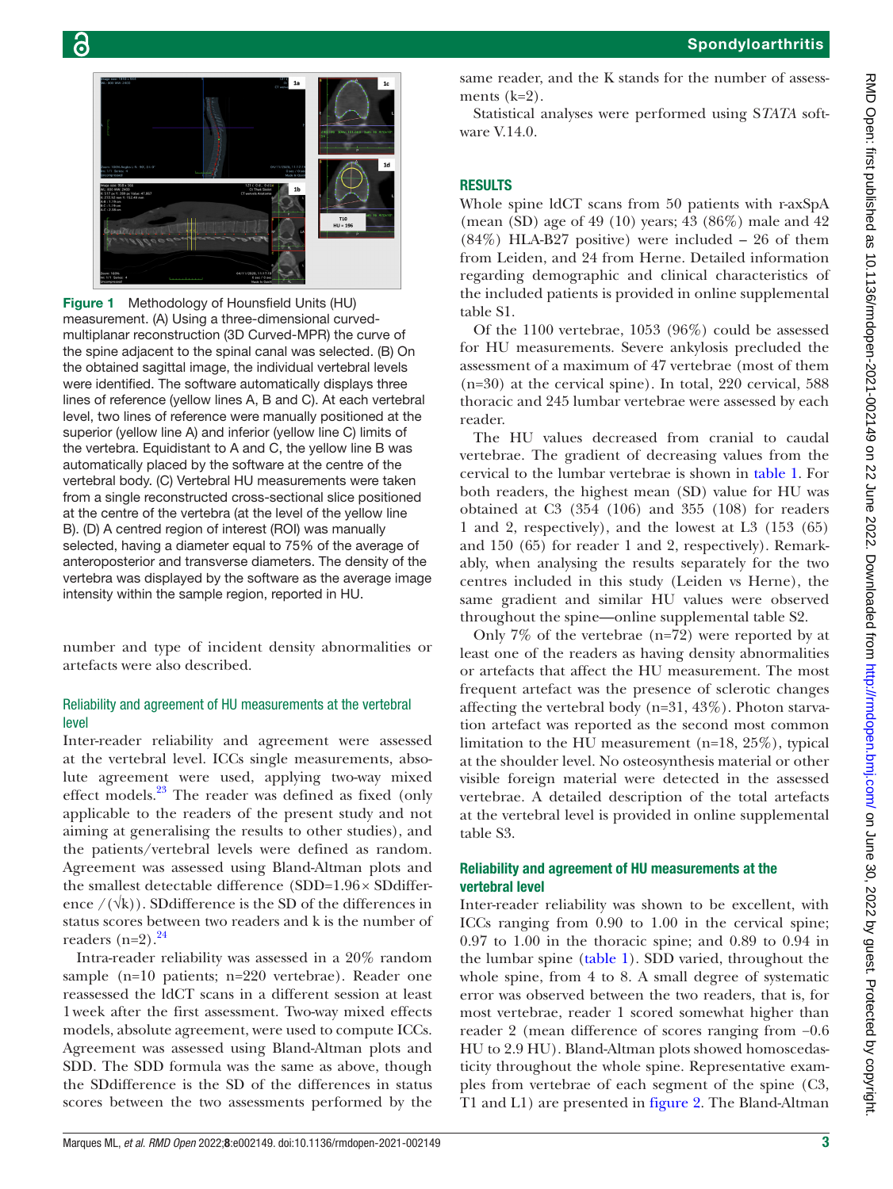

 $\overline{\bullet}$ 

<span id="page-2-0"></span>Figure 1 Methodology of Hounsfield Units (HU) measurement. (A) Using a three-dimensional curvedmultiplanar reconstruction (3D Curved-MPR) the curve of the spine adjacent to the spinal canal was selected. (B) On the obtained sagittal image, the individual vertebral levels were identified. The software automatically displays three lines of reference (yellow lines A, B and C). At each vertebral level, two lines of reference were manually positioned at the superior (yellow line A) and inferior (yellow line C) limits of the vertebra. Equidistant to A and C, the yellow line B was automatically placed by the software at the centre of the vertebral body. (C) Vertebral HU measurements were taken from a single reconstructed cross-sectional slice positioned at the centre of the vertebra (at the level of the yellow line B). (D) A centred region of interest (ROI) was manually selected, having a diameter equal to 75% of the average of anteroposterior and transverse diameters. The density of the vertebra was displayed by the software as the average image intensity within the sample region, reported in HU.

number and type of incident density abnormalities or artefacts were also described.

#### Reliability and agreement of HU measurements at the vertebral level

Inter-reader reliability and agreement were assessed at the vertebral level. ICCs single measurements, absolute agreement were used, applying two-way mixed effect models.<sup>[23](#page-6-2)</sup> The reader was defined as fixed (only applicable to the readers of the present study and not aiming at generalising the results to other studies), and the patients/vertebral levels were defined as random. Agreement was assessed using Bland-Altman plots and the smallest detectable difference (SDD=1.96× SDdifference  $/(\sqrt{k})$ . SDdifference is the SD of the differences in status scores between two readers and k is the number of readers  $(n=2)$ .<sup>[24](#page-6-3)</sup>

Intra-reader reliability was assessed in a 20% random sample (n=10 patients; n=220 vertebrae). Reader one reassessed the ldCT scans in a different session at least 1week after the first assessment. Two-way mixed effects models, absolute agreement, were used to compute ICCs. Agreement was assessed using Bland-Altman plots and SDD. The SDD formula was the same as above, though the SDdifference is the SD of the differences in status scores between the two assessments performed by the

same reader, and the K stands for the number of assessments  $(k=2)$ .

Statistical analyses were performed using S*TATA* software V.14.0.

# RESULTS

Whole spine ldCT scans from 50 patients with r-axSpA (mean (SD) age of 49 (10) years; 43 (86%) male and 42 (84%) HLA-B27 positive) were included – 26 of them from Leiden, and 24 from Herne. Detailed information regarding demographic and clinical characteristics of the included patients is provided in [online supplemental](https://dx.doi.org/10.1136/rmdopen-2021-002149) [table S1](https://dx.doi.org/10.1136/rmdopen-2021-002149).

Of the 1100 vertebrae, 1053 (96%) could be assessed for HU measurements. Severe ankylosis precluded the assessment of a maximum of 47 vertebrae (most of them (n=30) at the cervical spine). In total, 220 cervical, 588 thoracic and 245 lumbar vertebrae were assessed by each reader.

The HU values decreased from cranial to caudal vertebrae. The gradient of decreasing values from the cervical to the lumbar vertebrae is shown in [table](#page-3-0) 1. For both readers, the highest mean (SD) value for HU was obtained at C3 (354 (106) and 355 (108) for readers 1 and 2, respectively), and the lowest at L3 (153 (65) and 150 (65) for reader 1 and 2, respectively). Remarkably, when analysing the results separately for the two centres included in this study (Leiden vs Herne), the same gradient and similar HU values were observed throughout the spine—[online supplemental table S2.](https://dx.doi.org/10.1136/rmdopen-2021-002149)

Only 7% of the vertebrae (n=72) were reported by at least one of the readers as having density abnormalities or artefacts that affect the HU measurement. The most frequent artefact was the presence of sclerotic changes affecting the vertebral body (n=31, 43%). Photon starvation artefact was reported as the second most common limitation to the HU measurement (n=18, 25%), typical at the shoulder level. No osteosynthesis material or other visible foreign material were detected in the assessed vertebrae. A detailed description of the total artefacts at the vertebral level is provided in [online supplemental](https://dx.doi.org/10.1136/rmdopen-2021-002149) [table S3](https://dx.doi.org/10.1136/rmdopen-2021-002149).

#### Reliability and agreement of HU measurements at the vertebral level

Inter-reader reliability was shown to be excellent, with ICCs ranging from 0.90 to 1.00 in the cervical spine; 0.97 to 1.00 in the thoracic spine; and 0.89 to 0.94 in the lumbar spine ([table](#page-3-0) 1). SDD varied, throughout the whole spine, from 4 to 8. A small degree of systematic error was observed between the two readers, that is, for most vertebrae, reader 1 scored somewhat higher than reader 2 (mean difference of scores ranging from −0.6 HU to 2.9 HU). Bland-Altman plots showed homoscedasticity throughout the whole spine. Representative examples from vertebrae of each segment of the spine (C3, T1 and L1) are presented in [figure](#page-3-1) 2. The Bland-Altman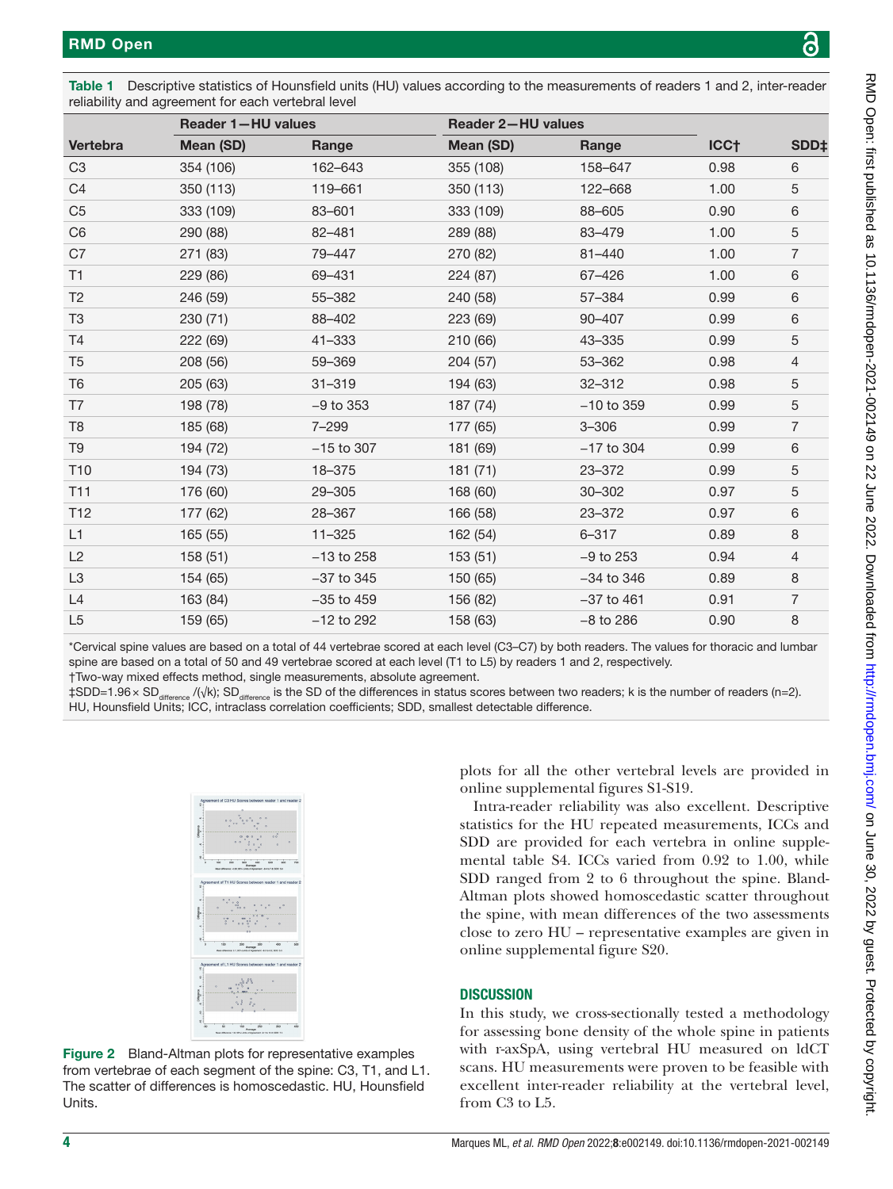<span id="page-3-0"></span>

| Table 1 Descriptive statistics of Hounsfield units (HU) values according to the measurements of readers 1 and 2, inter-reader |  |
|-------------------------------------------------------------------------------------------------------------------------------|--|
| reliability and agreement for each vertebral level                                                                            |  |

|                 |           | Reader 1-HU values |           | <b>Reader 2-HU values</b> |                  |                  |  |  |
|-----------------|-----------|--------------------|-----------|---------------------------|------------------|------------------|--|--|
| Vertebra        | Mean (SD) | Range              | Mean (SD) | Range                     | ICC <sub>T</sub> | SDD <sub>‡</sub> |  |  |
| C <sub>3</sub>  | 354 (106) | 162-643            | 355 (108) | 158-647                   | 0.98             | 6                |  |  |
| C <sub>4</sub>  | 350 (113) | 119-661            | 350 (113) | 122-668                   | 1.00             | 5                |  |  |
| C <sub>5</sub>  | 333 (109) | 83-601             | 333 (109) | 88-605                    | 0.90             | 6                |  |  |
| C <sub>6</sub>  | 290 (88)  | 82-481             | 289 (88)  | 83-479                    | 1.00             | 5                |  |  |
| C7              | 271 (83)  | 79-447             | 270 (82)  | $81 - 440$                | 1.00             | $\overline{7}$   |  |  |
| T1              | 229 (86)  | 69-431             | 224 (87)  | 67-426                    | 1.00             | 6                |  |  |
| T <sub>2</sub>  | 246 (59)  | 55-382             | 240 (58)  | 57-384                    | 0.99             | 6                |  |  |
| T <sub>3</sub>  | 230 (71)  | 88-402             | 223 (69)  | 90-407                    | 0.99             | 6                |  |  |
| T <sub>4</sub>  | 222 (69)  | $41 - 333$         | 210 (66)  | 43-335                    | 0.99             | 5                |  |  |
| T <sub>5</sub>  | 208 (56)  | 59-369             | 204 (57)  | 53-362                    | 0.98             | $\overline{4}$   |  |  |
| T <sub>6</sub>  | 205 (63)  | $31 - 319$         | 194 (63)  | $32 - 312$                | 0.98             | 5                |  |  |
| T7              | 198 (78)  | $-9$ to 353        | 187 (74)  | $-10$ to 359              | 0.99             | 5                |  |  |
| T <sub>8</sub>  | 185 (68)  | 7-299              | 177 (65)  | $3 - 306$                 | 0.99             | $\overline{7}$   |  |  |
| T <sub>9</sub>  | 194 (72)  | $-15$ to 307       | 181 (69)  | $-17$ to 304              | 0.99             | 6                |  |  |
| T10             | 194 (73)  | 18-375             | 181(71)   | 23-372                    | 0.99             | 5                |  |  |
| T <sub>11</sub> | 176 (60)  | 29-305             | 168 (60)  | 30-302                    | 0.97             | 5                |  |  |
| T <sub>12</sub> | 177 (62)  | 28-367             | 166 (58)  | 23-372                    | 0.97             | 6                |  |  |
| L1              | 165 (55)  | $11 - 325$         | 162 (54)  | $6 - 317$                 | 0.89             | 8                |  |  |
| L2              | 158 (51)  | $-13$ to 258       | 153(51)   | $-9$ to 253               | 0.94             | $\overline{4}$   |  |  |
| L <sub>3</sub>  | 154 (65)  | $-37$ to 345       | 150 (65)  | $-34$ to $346$            | 0.89             | 8                |  |  |
| L4              | 163 (84)  | $-35$ to $459$     | 156 (82)  | $-37$ to 461              | 0.91             | $\overline{7}$   |  |  |
| L <sub>5</sub>  | 159 (65)  | $-12$ to 292       | 158 (63)  | $-8$ to 286               | 0.90             | 8                |  |  |

\*Cervical spine values are based on a total of 44 vertebrae scored at each level (C3–C7) by both readers. The values for thoracic and lumbar spine are based on a total of 50 and 49 vertebrae scored at each level (T1 to L5) by readers 1 and 2, respectively.

†Two-way mixed effects method, single measurements, absolute agreement.

‡SDD=1.96 × SD<sub>difference</sub> /(√k); SD<sub>difference</sub> is the SD of the differences in status scores between two readers; k is the number of readers (n=2). HU, Hounsfield Units; ICC, intraclass correlation coefficients; SDD, smallest detectable difference.



Figure 2 Bland-Altman plots for representative examples from vertebrae of each segment of the spine: C3, T1, and L1. The scatter of differences is homoscedastic. HU, Hounsfield Units.

plots for all the other vertebral levels are provided in [online supplemental figures S1-S19](https://dx.doi.org/10.1136/rmdopen-2021-002149).

Intra-reader reliability was also excellent. Descriptive statistics for the HU repeated measurements, ICCs and SDD are provided for each vertebra in [online supple](https://dx.doi.org/10.1136/rmdopen-2021-002149)[mental table S4](https://dx.doi.org/10.1136/rmdopen-2021-002149). ICCs varied from 0.92 to 1.00, while SDD ranged from 2 to 6 throughout the spine. Bland-Altman plots showed homoscedastic scatter throughout the spine, with mean differences of the two assessments close to zero HU – representative examples are given in [online supplemental figure S20.](https://dx.doi.org/10.1136/rmdopen-2021-002149)

## **DISCUSSION**

<span id="page-3-1"></span>In this study, we cross-sectionally tested a methodology for assessing bone density of the whole spine in patients with r-axSpA, using vertebral HU measured on ldCT scans. HU measurements were proven to be feasible with excellent inter-reader reliability at the vertebral level, from C3 to L5.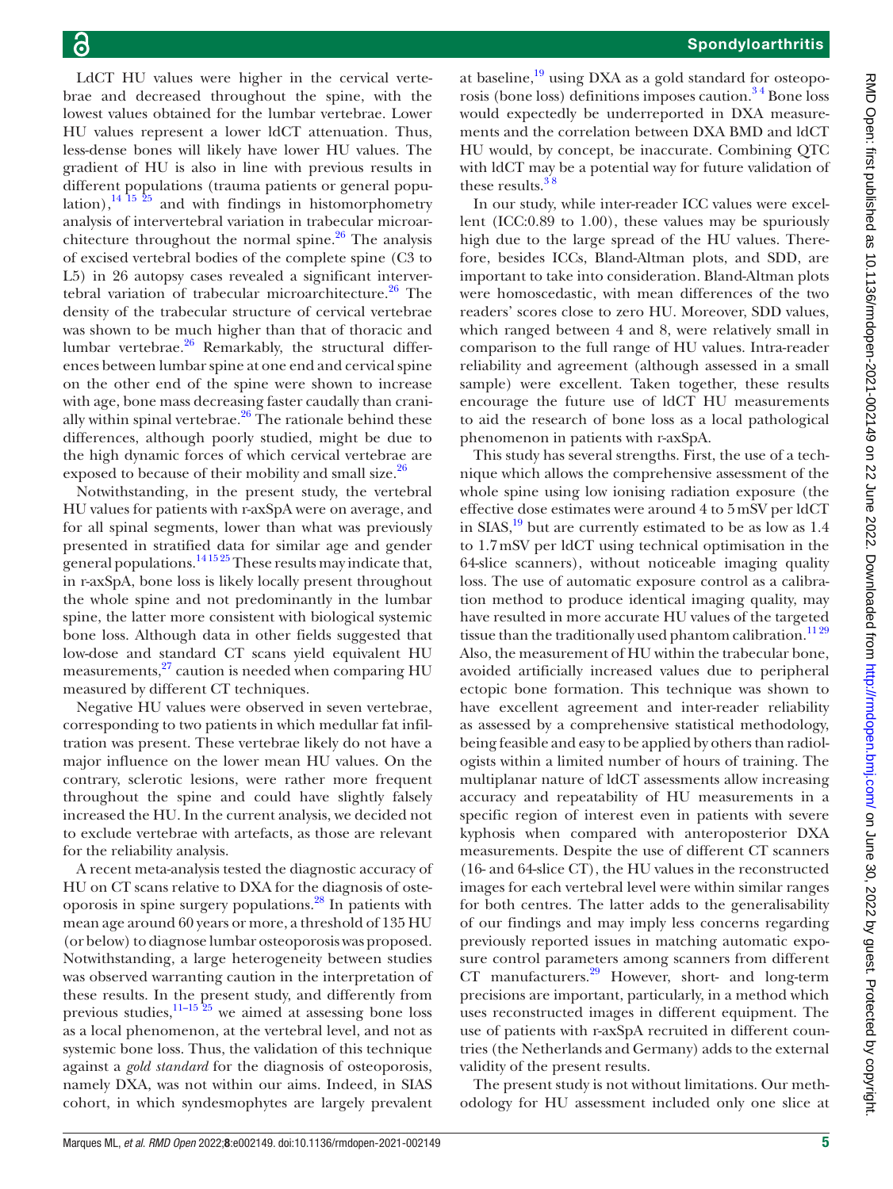LdCT HU values were higher in the cervical vertebrae and decreased throughout the spine, with the lowest values obtained for the lumbar vertebrae. Lower HU values represent a lower ldCT attenuation. Thus, less-dense bones will likely have lower HU values. The gradient of HU is also in line with previous results in different populations (trauma patients or general population),<sup>14 15 25</sup> and with findings in histomorphometry analysis of intervertebral variation in trabecular microarchitecture throughout the normal spine. $26$  The analysis of excised vertebral bodies of the complete spine (C3 to L5) in 26 autopsy cases revealed a significant intervertebral variation of trabecular microarchitecture.<sup>26</sup> The density of the trabecular structure of cervical vertebrae was shown to be much higher than that of thoracic and lumbar vertebrae. $26$  Remarkably, the structural differences between lumbar spine at one end and cervical spine on the other end of the spine were shown to increase with age, bone mass decreasing faster caudally than cranially within spinal vertebrae.<sup>26</sup> The rationale behind these differences, although poorly studied, might be due to the high dynamic forces of which cervical vertebrae are exposed to because of their mobility and small size.<sup>[26](#page-6-4)</sup>

Notwithstanding, in the present study, the vertebral HU values for patients with r-axSpA were on average, and for all spinal segments, lower than what was previously presented in stratified data for similar age and gender general populations.<sup>141525</sup> These results may indicate that, in r-axSpA, bone loss is likely locally present throughout the whole spine and not predominantly in the lumbar spine, the latter more consistent with biological systemic bone loss. Although data in other fields suggested that low-dose and standard CT scans yield equivalent HU measurements, $^{27}$  caution is needed when comparing HU measured by different CT techniques.

Negative HU values were observed in seven vertebrae, corresponding to two patients in which medullar fat infiltration was present. These vertebrae likely do not have a major influence on the lower mean HU values. On the contrary, sclerotic lesions, were rather more frequent throughout the spine and could have slightly falsely increased the HU. In the current analysis, we decided not to exclude vertebrae with artefacts, as those are relevant for the reliability analysis.

A recent meta-analysis tested the diagnostic accuracy of HU on CT scans relative to DXA for the diagnosis of osteoporosis in spine surgery populations.[28](#page-6-6) In patients with mean age around 60 years or more, a threshold of 135 HU (or below) to diagnose lumbar osteoporosis was proposed. Notwithstanding, a large heterogeneity between studies was observed warranting caution in the interpretation of these results. In the present study, and differently from previous studies, $\frac{11-15 \frac{25}{25}}{11}$  we aimed at assessing bone loss as a local phenomenon, at the vertebral level, and not as systemic bone loss. Thus, the validation of this technique against a *gold standard* for the diagnosis of osteoporosis, namely DXA, was not within our aims. Indeed, in SIAS cohort, in which syndesmophytes are largely prevalent

at baseline, $19 \text{ using DXA}$  $19 \text{ using DXA}$  as a gold standard for osteoporosis (bone loss) definitions imposes caution.<sup>34</sup> Bone loss would expectedly be underreported in DXA measurements and the correlation between DXA BMD and ldCT HU would, by concept, be inaccurate. Combining QTC with ldCT may be a potential way for future validation of these results. $38$ 

In our study, while inter-reader ICC values were excellent (ICC:0.89 to 1.00), these values may be spuriously high due to the large spread of the HU values. Therefore, besides ICCs, Bland-Altman plots, and SDD, are important to take into consideration. Bland-Altman plots were homoscedastic, with mean differences of the two readers' scores close to zero HU. Moreover, SDD values, which ranged between 4 and 8, were relatively small in comparison to the full range of HU values. Intra-reader reliability and agreement (although assessed in a small sample) were excellent. Taken together, these results encourage the future use of ldCT HU measurements to aid the research of bone loss as a local pathological phenomenon in patients with r-axSpA.

This study has several strengths. First, the use of a technique which allows the comprehensive assessment of the whole spine using low ionising radiation exposure (the effective dose estimates were around 4 to 5mSV per ldCT in  $SIAS$ ,<sup>19</sup> but are currently estimated to be as low as 1.4 to 1.7mSV per ldCT using technical optimisation in the 64-slice scanners), without noticeable imaging quality loss. The use of automatic exposure control as a calibration method to produce identical imaging quality, may have resulted in more accurate HU values of the targeted tissue than the traditionally used phantom calibration.<sup>1129</sup> Also, the measurement of HU within the trabecular bone, avoided artificially increased values due to peripheral ectopic bone formation. This technique was shown to have excellent agreement and inter-reader reliability as assessed by a comprehensive statistical methodology, being feasible and easy to be applied by others than radiologists within a limited number of hours of training. The multiplanar nature of ldCT assessments allow increasing accuracy and repeatability of HU measurements in a specific region of interest even in patients with severe kyphosis when compared with anteroposterior DXA measurements. Despite the use of different CT scanners (16- and 64-slice CT), the HU values in the reconstructed images for each vertebral level were within similar ranges for both centres. The latter adds to the generalisability of our findings and may imply less concerns regarding previously reported issues in matching automatic exposure control parameters among scanners from different  $CT$  manufacturers.<sup>29</sup> However, short- and long-term precisions are important, particularly, in a method which uses reconstructed images in different equipment. The use of patients with r-axSpA recruited in different countries (the Netherlands and Germany) adds to the external validity of the present results.

The present study is not without limitations. Our methodology for HU assessment included only one slice at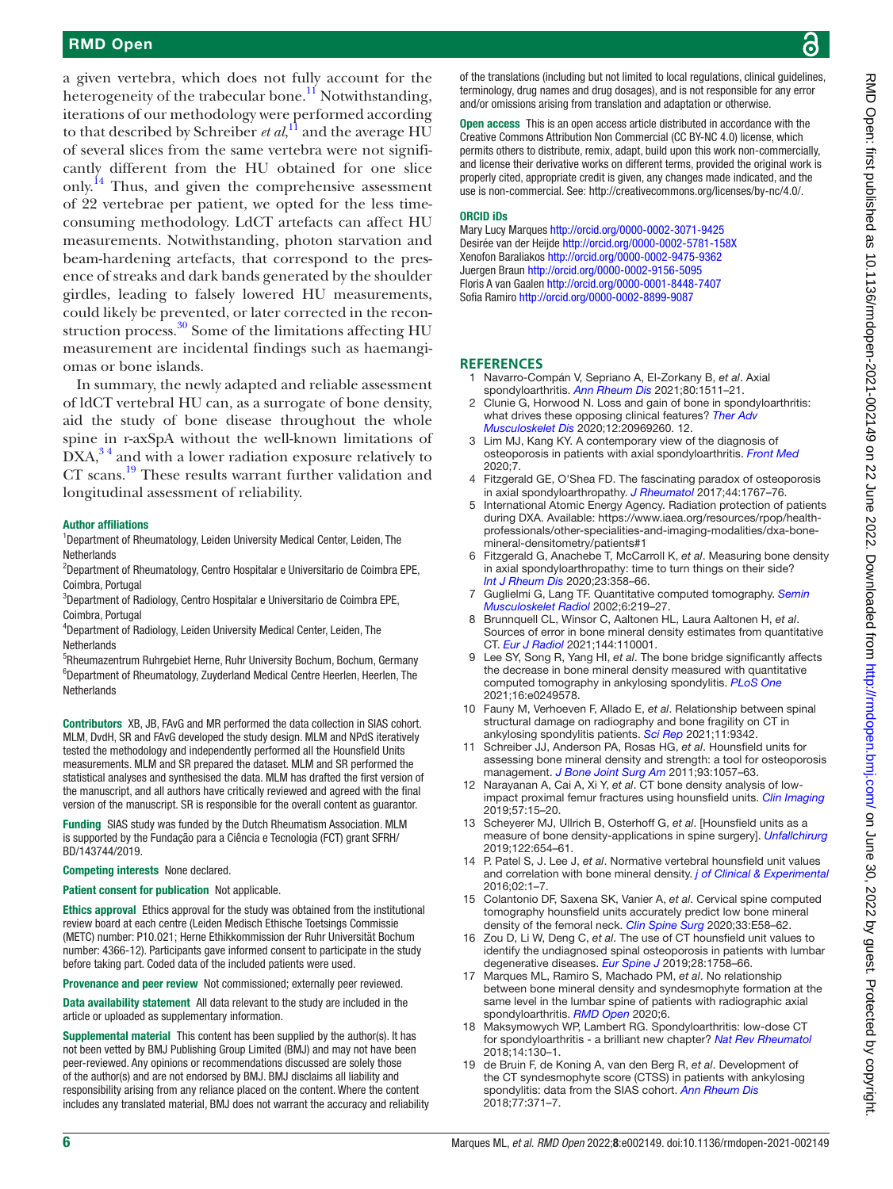a given vertebra, which does not fully account for the heterogeneity of the trabecular bone.<sup>11</sup> Notwithstanding, iterations of our methodology were performed according to that described by Schreiber *et al*, [11](#page-5-7) and the average HU of several slices from the same vertebra were not significantly different from the HU obtained for one slice only.<sup>[14](#page-5-10)</sup> Thus, and given the comprehensive assessment of 22 vertebrae per patient, we opted for the less timeconsuming methodology. LdCT artefacts can affect HU measurements. Notwithstanding, photon starvation and beam-hardening artefacts, that correspond to the presence of streaks and dark bands generated by the shoulder girdles, leading to falsely lowered HU measurements, could likely be prevented, or later corrected in the reconstruction process. $30$  Some of the limitations affecting HU measurement are incidental findings such as haemangiomas or bone islands.

In summary, the newly adapted and reliable assessment of ldCT vertebral HU can, as a surrogate of bone density, aid the study of bone disease throughout the whole spine in r-axSpA without the well-known limitations of  $DXA<sub>1</sub><sup>34</sup>$  and with a lower radiation exposure relatively to CT scans.[19](#page-5-9) These results warrant further validation and longitudinal assessment of reliability.

#### Author affiliations

<sup>1</sup>Department of Rheumatology, Leiden University Medical Center, Leiden, The **Netherlands** 

<sup>2</sup>Department of Rheumatology, Centro Hospitalar e Universitario de Coimbra EPE, Coimbra, Portugal

3 Department of Radiology, Centro Hospitalar e Universitario de Coimbra EPE, Coimbra, Portugal

4 Department of Radiology, Leiden University Medical Center, Leiden, The **Netherlands** 

5 Rheumazentrum Ruhrgebiet Herne, Ruhr University Bochum, Bochum, Germany 6 Department of Rheumatology, Zuyderland Medical Centre Heerlen, Heerlen, The Netherlands

Contributors XB, JB, FAvG and MR performed the data collection in SIAS cohort. MLM, DvdH, SR and FAvG developed the study design. MLM and NPdS iteratively tested the methodology and independently performed all the Hounsfield Units measurements. MLM and SR prepared the dataset. MLM and SR performed the statistical analyses and synthesised the data. MLM has drafted the first version of the manuscript, and all authors have critically reviewed and agreed with the final version of the manuscript. SR is responsible for the overall content as guarantor.

Funding SIAS study was funded by the Dutch Rheumatism Association. MLM is supported by the Fundação para a Ciência e Tecnologia (FCT) grant SFRH/ BD/143744/2019.

Competing interests None declared.

#### Patient consent for publication Not applicable.

Ethics approval Ethics approval for the study was obtained from the institutional review board at each centre (Leiden Medisch Ethische Toetsings Commissie (METC) number: P10.021; Herne Ethikkommission der Ruhr Universität Bochum number: 4366-12). Participants gave informed consent to participate in the study before taking part. Coded data of the included patients were used.

Provenance and peer review Not commissioned; externally peer reviewed.

Data availability statement All data relevant to the study are included in the article or uploaded as supplementary information.

Supplemental material This content has been supplied by the author(s). It has not been vetted by BMJ Publishing Group Limited (BMJ) and may not have been peer-reviewed. Any opinions or recommendations discussed are solely those of the author(s) and are not endorsed by BMJ. BMJ disclaims all liability and responsibility arising from any reliance placed on the content. Where the content includes any translated material, BMJ does not warrant the accuracy and reliability RMD Open: first published as 10.1136/rmdopen-2021-002149 on 22 June 2022. Downloaded from http://rmdopen.bmj.com/ on June 30, 2022 by guest. Protected by copyright on June 30, 2022 by guest. Protected by copyright. <http://rmdopen.bmj.com/> RMD Open: first published as 10.1136/rmdopen-2021-002149 on 22 June 2022. Downloaded from

of the translations (including but not limited to local regulations, clinical guidelines, terminology, drug names and drug dosages), and is not responsible for any error and/or omissions arising from translation and adaptation or otherwise.

Open access This is an open access article distributed in accordance with the Creative Commons Attribution Non Commercial (CC BY-NC 4.0) license, which permits others to distribute, remix, adapt, build upon this work non-commercially, and license their derivative works on different terms, provided the original work is properly cited, appropriate credit is given, any changes made indicated, and the use is non-commercial. See:<http://creativecommons.org/licenses/by-nc/4.0/>.

#### ORCID iDs

Mary Lucy Marques<http://orcid.org/0000-0002-3071-9425> Desirée van der Heijde<http://orcid.org/0000-0002-5781-158X> Xenofon Baraliakos <http://orcid.org/0000-0002-9475-9362> Juergen Braun<http://orcid.org/0000-0002-9156-5095> Floris A van Gaalen<http://orcid.org/0000-0001-8448-7407> Sofia Ramiro <http://orcid.org/0000-0002-8899-9087>

#### **REFERENCES**

- <span id="page-5-0"></span>1 Navarro-Compán V, Sepriano A, El-Zorkany B, *et al*. Axial spondyloarthritis. *[Ann Rheum Dis](http://dx.doi.org/10.1136/annrheumdis-2021-221035)* 2021;80:1511–21.
- <span id="page-5-1"></span>Clunie G, Horwood N. Loss and gain of bone in spondyloarthritis: what drives these opposing clinical features? *[Ther Adv](http://dx.doi.org/10.1177/1759720X20969260)  [Musculoskelet Dis](http://dx.doi.org/10.1177/1759720X20969260)* 2020;12:20969260. 12.
- <span id="page-5-2"></span>3 Lim MJ, Kang KY. A contemporary view of the diagnosis of osteoporosis in patients with axial spondyloarthritis. *[Front Med](http://dx.doi.org/10.3389/fmed.2020.569449)* 2020;7.
- 4 Fitzgerald GE, O'Shea FD. The fascinating paradox of osteoporosis in axial spondyloarthropathy. *[J Rheumatol](http://dx.doi.org/10.3899/jrheum.170051)* 2017;44:1767–76.
- <span id="page-5-3"></span>5 International Atomic Energy Agency. Radiation protection of patients during DXA. Available: [https://www.iaea.org/resources/rpop/health](https://www.iaea.org/resources/rpop/health-professionals/other-specialities-and-imaging-modalities/dxa-bone-mineral-densitometry/patients#1)[professionals/other-specialities-and-imaging-modalities/dxa-bone](https://www.iaea.org/resources/rpop/health-professionals/other-specialities-and-imaging-modalities/dxa-bone-mineral-densitometry/patients#1)[mineral-densitometry/patients#1](https://www.iaea.org/resources/rpop/health-professionals/other-specialities-and-imaging-modalities/dxa-bone-mineral-densitometry/patients#1)
- <span id="page-5-4"></span>6 Fitzgerald G, Anachebe T, McCarroll K, *et al*. Measuring bone density in axial spondyloarthropathy: time to turn things on their side? *[Int J Rheum Dis](http://dx.doi.org/10.1111/1756-185X.13765)* 2020;23:358–66.
- 7 Guglielmi G, Lang TF. Quantitative computed tomography. *[Semin](http://dx.doi.org/10.1055/s-2002-36719)  [Musculoskelet Radiol](http://dx.doi.org/10.1055/s-2002-36719)* 2002;6:219–27.
- <span id="page-5-5"></span>8 Brunnquell CL, Winsor C, Aaltonen HL, Laura Aaltonen H, *et al*. Sources of error in bone mineral density estimates from quantitative CT. *[Eur J Radiol](http://dx.doi.org/10.1016/j.ejrad.2021.110001)* 2021;144:110001.
- <span id="page-5-6"></span>9 Lee SY, Song R, Yang HI, *et al*. The bone bridge significantly affects the decrease in bone mineral density measured with quantitative computed tomography in ankylosing spondylitis. *[PLoS One](http://dx.doi.org/10.1371/journal.pone.0249578)* 2021;16:e0249578.
- <span id="page-5-8"></span>10 Fauny M, Verhoeven F, Allado E, *et al*. Relationship between spinal structural damage on radiography and bone fragility on CT in ankylosing spondylitis patients. *[Sci Rep](http://dx.doi.org/10.1038/s41598-021-88838-9)* 2021;11:9342.
- <span id="page-5-7"></span>11 Schreiber JJ, Anderson PA, Rosas HG, *et al*. Hounsfield units for assessing bone mineral density and strength: a tool for osteoporosis management. *[J Bone Joint Surg Am](http://dx.doi.org/10.2106/JBJS.J.00160)* 2011;93:1057–63.
- 12 Narayanan A, Cai A, Xi Y, *et al*. CT bone density analysis of lowimpact proximal femur fractures using hounsfield units. *[Clin Imaging](http://dx.doi.org/10.1016/j.clinimag.2019.04.009)* 2019;57:15–20.
- 13 Scheyerer MJ, Ullrich B, Osterhoff G, *et al*. [Hounsfield units as a measure of bone density-applications in spine surgery]. *[Unfallchirurg](http://dx.doi.org/10.1007/s00113-019-0658-0)* 2019;122:654–61.
- <span id="page-5-10"></span>14 P. Patel S, J. Lee J, *et al*. Normative vertebral hounsfield unit values and correlation with bone mineral density. *[j of Clinical & Experimental](http://dx.doi.org/10.4172/2471-8416.100014)* 2016;02:1–7.
- 15 Colantonio DF, Saxena SK, Vanier A, *et al*. Cervical spine computed tomography hounsfield units accurately predict low bone mineral density of the femoral neck. *[Clin Spine Surg](http://dx.doi.org/10.1097/BSD.0000000000000879)* 2020;33:E58–62.
- 16 Zou D, Li W, Deng C, *et al*. The use of CT hounsfield unit values to identify the undiagnosed spinal osteoporosis in patients with lumbar degenerative diseases. *[Eur Spine J](http://dx.doi.org/10.1007/s00586-018-5776-9)* 2019;28:1758–66.
- 17 Marques ML, Ramiro S, Machado PM, *et al*. No relationship between bone mineral density and syndesmophyte formation at the same level in the lumbar spine of patients with radiographic axial spondyloarthritis. *[RMD Open](http://dx.doi.org/10.1136/rmdopen-2020-001391)* 2020;6.
- 18 Maksymowych WP, Lambert RG. Spondyloarthritis: low-dose CT for spondyloarthritis - a brilliant new chapter? *[Nat Rev Rheumatol](http://dx.doi.org/10.1038/nrrheum.2018.4)* 2018;14:130–1.
- <span id="page-5-9"></span>19 de Bruin F, de Koning A, van den Berg R, *et al*. Development of the CT syndesmophyte score (CTSS) in patients with ankylosing spondylitis: data from the SIAS cohort. *[Ann Rheum Dis](http://dx.doi.org/10.1136/annrheumdis-2017-212553)* 2018;77:371–7.